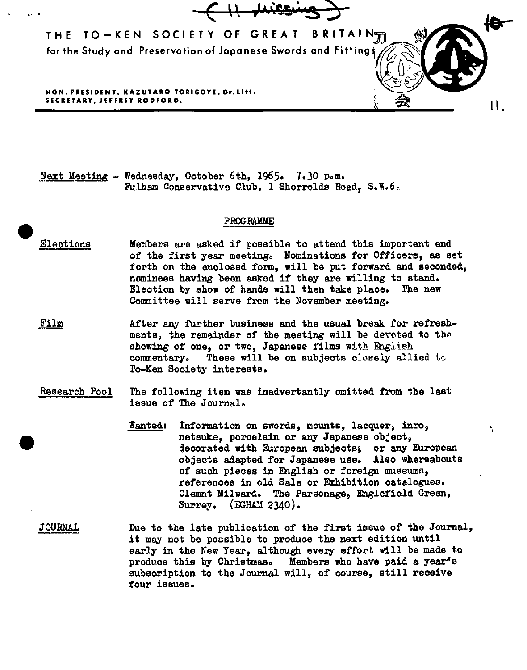

Next Meeting - Wednesday, October 6th, 1965. 7.30 p.m. Fulham Conservative Club, 1 Shorrolds Road., S.W.6.

## PROGRAMME

- $\bullet$ Eleotiona Members are asked if possible to attend this important end of the first year meeting. Nominations for Of'fioers, as set forth on the enclosed form, will be put forward and seconded, nominees having been asked if they are willing to stand. Election by show of hands will then take place. The new Committee will serve from the November meeting.
	- Film After any further business and the usual break for refreshments, the remainder of the meeting will be devoted to the showing of one, or two, Japanese films with English commentary. These will be on subjects clceely allied to To-Ken Society interests.
	- Research Pool The following item was inadvertently omitted from the last issue of The Journal.

•

Wanted: Information on swords, mounts, lacquer, inro, netsuke, porcelain or any Japanese object, decorated with European subjects; or any European objects adapted for Japanese use. Also whereabouts of such pieces in English or foreign museums, references in old Sale or Exhibition catalogues. Clemnt Milward. The Parsonage, Englefield Green, Surrey. (EGHAM 2340).

·,

JOURNAL Due to the late publication of the first issue of the Journal, it may not be possible to produce the next edition until early in the New Year, although every effort will be made to prodv.oe this by Christmas. Members who have paid a year's subscription to the Journal will, of course, still receive four issues.